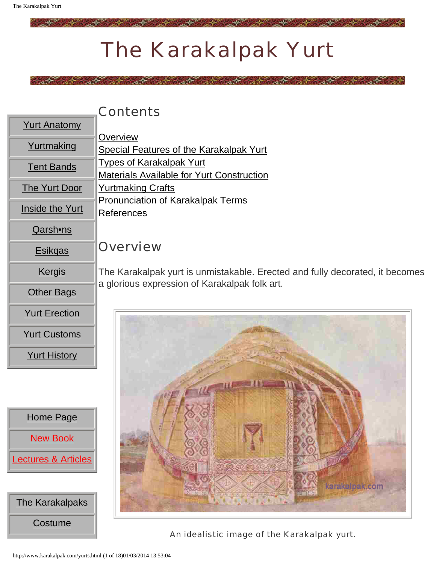# The Karakalpak Yurt

المحمد المستقبل المستخدم المستقبل

### **Contents**

**[Overview](#page-0-0)** 

| Anato |
|-------|
|       |

<span id="page-0-1"></span>

[Yurtmaking](http://www.karakalpak.com/yurtmaking.html)

[Tent Bands](http://www.karakalpak.com/tentbands.html)

[The Yurt Door](http://www.karakalpak.com/yurtdoor.html)

[Inside the Yurt](http://www.karakalpak.com/insidetheyurt.html)

<span id="page-0-0"></span>[Qarsh•ns](http://www.karakalpak.com/qarshins.html)

[Esikqas](http://www.karakalpak.com/yesikqas.html)

[Kergis](http://www.karakalpak.com/kerges.html)

[Other Bags](http://www.karakalpak.com/otherbags.html)

[Yurt Erection](http://www.karakalpak.com/yurterection.html)

[Yurt Customs](http://www.karakalpak.com/yurtcustoms.html)

[Yurt History](http://www.karakalpak.com/yurthistory.html)

[Types of Karakalpak Yurt](#page-5-0) [Materials Available for Yurt Construction](#page-7-0) [Yurtmaking Crafts](#page-13-0) [Pronunciation of Karakalpak Terms](#page-15-0) [References](#page-16-0)

[Special Features of the Karakalpak Yurt](#page-4-0)

### **Overview**

The Karakalpak yurt is unmistakable. Erected and fully decorated, it becomes a glorious expression of Karakalpak folk art.



An idealistic image of the Karakalpak yurt.

[Home Page](http://www.karakalpak.com/index.html) [New Book](http://www.karakalpak.com/book.html) **[Lectures & Articles](http://www.karakalpak.com/lectures.html)** 



http://www.karakalpak.com/yurts.html (1 of 18)01/03/2014 13:53:04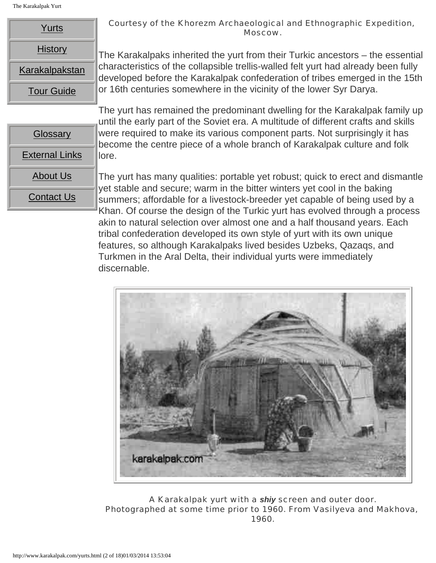The Karakalpak Yurt

| Yurts             |  |  |
|-------------------|--|--|
| <b>History</b>    |  |  |
| Karakalpakstan    |  |  |
| <b>Tour Guide</b> |  |  |

**[Glossary](http://www.karakalpak.com/glossary.html)** 

[External Links](http://www.karakalpak.com/external.html)

[About Us](http://www.karakalpak.com/aboutus.html)

[Contact Us](http://www.karakalpak.com/contactus.html)

#### Courtesy of the Khorezm Archaeological and Ethnographic Expedition, Moscow.

The Karakalpaks inherited the yurt from their Turkic ancestors – the essential characteristics of the collapsible trellis-walled felt yurt had already been fully developed before the Karakalpak confederation of tribes emerged in the 15th or 16th centuries somewhere in the vicinity of the lower Syr Darya.

The yurt has remained the predominant dwelling for the Karakalpak family up until the early part of the Soviet era. A multitude of different crafts and skills were required to make its various component parts. Not surprisingly it has become the centre piece of a whole branch of Karakalpak culture and folk lore.

The yurt has many qualities: portable yet robust; quick to erect and dismantle yet stable and secure; warm in the bitter winters yet cool in the baking summers; affordable for a livestock-breeder yet capable of being used by a Khan. Of course the design of the Turkic yurt has evolved through a process akin to natural selection over almost one and a half thousand years. Each tribal confederation developed its own style of yurt with its own unique features, so although Karakalpaks lived besides Uzbeks, Qazaqs, and Turkmen in the Aral Delta, their individual yurts were immediately discernable.



A Karakalpak yurt with a *shiy* screen and outer door. Photographed at some time prior to 1960. From Vasilyeva and Makhova, 1960.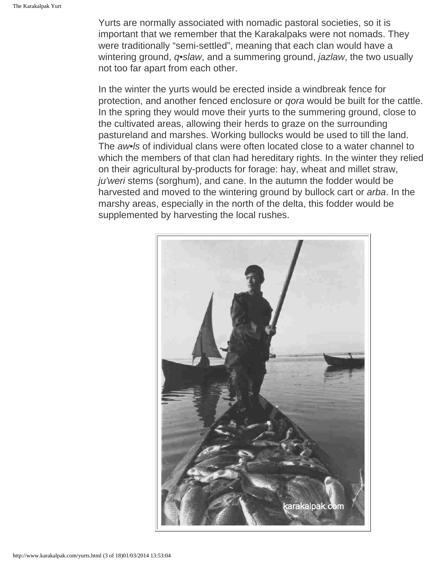Yurts are normally associated with nomadic pastoral societies, so it is important that we remember that the Karakalpaks were not nomads. They were traditionally "semi-settled", meaning that each clan would have a wintering ground, *q•slaw*, and a summering ground, *jazlaw*, the two usually not too far apart from each other.

In the winter the yurts would be erected inside a windbreak fence for protection, and another fenced enclosure or *qora* would be built for the cattle. In the spring they would move their yurts to the summering ground, close to the cultivated areas, allowing their herds to graze on the surrounding pastureland and marshes. Working bullocks would be used to till the land. The *aw•ls* of individual clans were often located close to a water channel to which the members of that clan had hereditary rights. In the winter they relied on their agricultural by-products for forage: hay, wheat and millet straw, *ju'weri* stems (sorghum), and cane. In the autumn the fodder would be harvested and moved to the wintering ground by bullock cart or *arba*. In the marshy areas, especially in the north of the delta, this fodder would be supplemented by harvesting the local rushes.

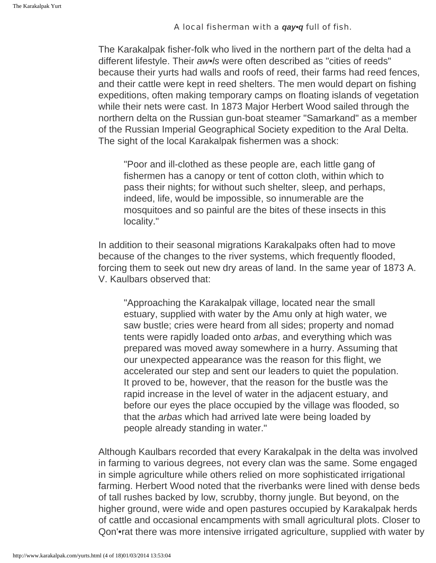#### A local fisherman with a *qay•q* full of fish.

The Karakalpak fisher-folk who lived in the northern part of the delta had a different lifestyle. Their *aw•ls* were often described as "cities of reeds" because their yurts had walls and roofs of reed, their farms had reed fences, and their cattle were kept in reed shelters. The men would depart on fishing expeditions, often making temporary camps on floating islands of vegetation while their nets were cast. In 1873 Major Herbert Wood sailed through the northern delta on the Russian gun-boat steamer "Samarkand" as a member of the Russian Imperial Geographical Society expedition to the Aral Delta. The sight of the local Karakalpak fishermen was a shock:

"Poor and ill-clothed as these people are, each little gang of fishermen has a canopy or tent of cotton cloth, within which to pass their nights; for without such shelter, sleep, and perhaps, indeed, life, would be impossible, so innumerable are the mosquitoes and so painful are the bites of these insects in this locality."

In addition to their seasonal migrations Karakalpaks often had to move because of the changes to the river systems, which frequently flooded, forcing them to seek out new dry areas of land. In the same year of 1873 A. V. Kaulbars observed that:

"Approaching the Karakalpak village, located near the small estuary, supplied with water by the Amu only at high water, we saw bustle; cries were heard from all sides; property and nomad tents were rapidly loaded onto *arbas*, and everything which was prepared was moved away somewhere in a hurry. Assuming that our unexpected appearance was the reason for this flight, we accelerated our step and sent our leaders to quiet the population. It proved to be, however, that the reason for the bustle was the rapid increase in the level of water in the adjacent estuary, and before our eyes the place occupied by the village was flooded, so that the *arbas* which had arrived late were being loaded by people already standing in water."

Although Kaulbars recorded that every Karakalpak in the delta was involved in farming to various degrees, not every clan was the same. Some engaged in simple agriculture while others relied on more sophisticated irrigational farming. Herbert Wood noted that the riverbanks were lined with dense beds of tall rushes backed by low, scrubby, thorny jungle. But beyond, on the higher ground, were wide and open pastures occupied by Karakalpak herds of cattle and occasional encampments with small agricultural plots. Closer to Qon'•rat there was more intensive irrigated agriculture, supplied with water by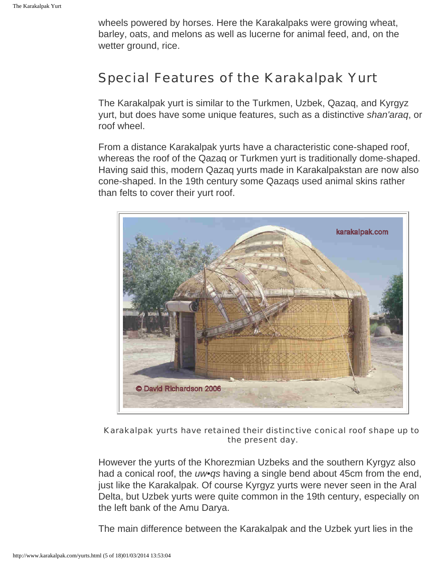wheels powered by horses. Here the Karakalpaks were growing wheat, barley, oats, and melons as well as lucerne for animal feed, and, on the wetter ground, rice.

## <span id="page-4-0"></span>Special Features of the Karakalpak Yurt

The Karakalpak yurt is similar to the Turkmen, Uzbek, Qazaq, and Kyrgyz yurt, but does have some unique features, such as a distinctive *shan'araq*, or roof wheel.

From a distance Karakalpak yurts have a characteristic cone-shaped roof, whereas the roof of the Qazaq or Turkmen yurt is traditionally dome-shaped. Having said this, modern Qazaq yurts made in Karakalpakstan are now also cone-shaped. In the 19th century some Qazaqs used animal skins rather than felts to cover their yurt roof.



Karakalpak yurts have retained their distinctive conical roof shape up to the present day.

However the yurts of the Khorezmian Uzbeks and the southern Kyrgyz also had a conical roof, the *uw•qs* having a single bend about 45cm from the end, just like the Karakalpak. Of course Kyrgyz yurts were never seen in the Aral Delta, but Uzbek yurts were quite common in the 19th century, especially on the left bank of the Amu Darya.

The main difference between the Karakalpak and the Uzbek yurt lies in the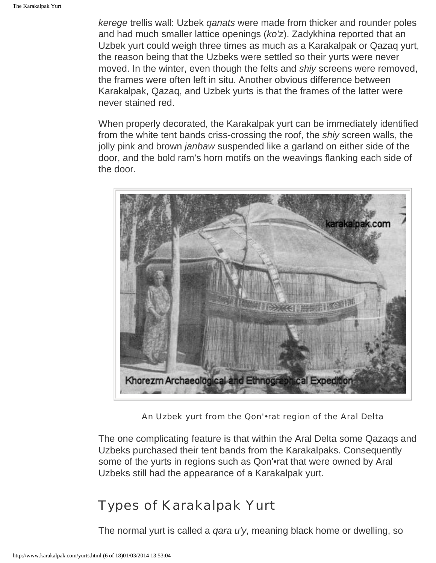*kerege* trellis wall: Uzbek *qanats* were made from thicker and rounder poles and had much smaller lattice openings (*ko'z*). Zadykhina reported that an Uzbek yurt could weigh three times as much as a Karakalpak or Qazaq yurt, the reason being that the Uzbeks were settled so their yurts were never moved. In the winter, even though the felts and *shiy* screens were removed, the frames were often left in situ. Another obvious difference between Karakalpak, Qazaq, and Uzbek yurts is that the frames of the latter were never stained red.

When properly decorated, the Karakalpak yurt can be immediately identified from the white tent bands criss-crossing the roof, the *shiy* screen walls, the jolly pink and brown *janbaw* suspended like a garland on either side of the door, and the bold ram's horn motifs on the weavings flanking each side of the door.



An Uzbek yurt from the Qon'•rat region of the Aral Delta

The one complicating feature is that within the Aral Delta some Qazaqs and Uzbeks purchased their tent bands from the Karakalpaks. Consequently some of the yurts in regions such as Qon'•rat that were owned by Aral Uzbeks still had the appearance of a Karakalpak yurt.

### <span id="page-5-0"></span>Types of Karakalpak Yurt

The normal yurt is called a *qara u'y*, meaning black home or dwelling, so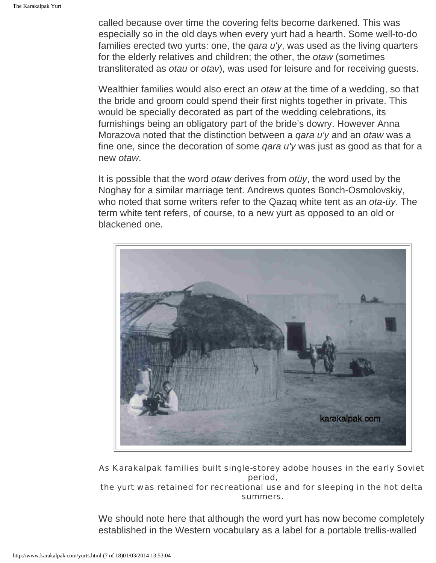called because over time the covering felts become darkened. This was especially so in the old days when every yurt had a hearth. Some well-to-do families erected two yurts: one, the *qara u'y*, was used as the living quarters for the elderly relatives and children; the other, the *otaw* (sometimes transliterated as *otau* or *otav*), was used for leisure and for receiving guests.

Wealthier families would also erect an *otaw* at the time of a wedding, so that the bride and groom could spend their first nights together in private. This would be specially decorated as part of the wedding celebrations, its furnishings being an obligatory part of the bride's dowry. However Anna Morazova noted that the distinction between a *qara u'y* and an *otaw* was a fine one, since the decoration of some *qara u'y* was just as good as that for a new *otaw*.

It is possible that the word *otaw* derives from *otüy*, the word used by the Noghay for a similar marriage tent. Andrews quotes Bonch-Osmolovskiy, who noted that some writers refer to the Qazaq white tent as an *ota-üy*. The term white tent refers, of course, to a new yurt as opposed to an old or blackened one.



As Karakalpak families built single-storey adobe houses in the early Soviet period,

#### the yurt was retained for recreational use and for sleeping in the hot delta summers.

We should note here that although the word yurt has now become completely established in the Western vocabulary as a label for a portable trellis-walled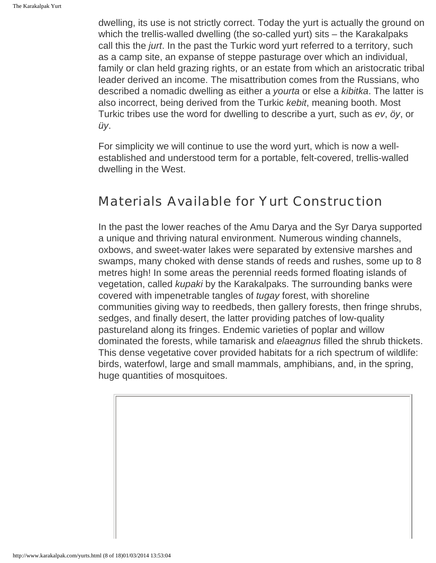dwelling, its use is not strictly correct. Today the yurt is actually the ground on which the trellis-walled dwelling (the so-called yurt) sits – the Karakalpaks call this the *jurt*. In the past the Turkic word yurt referred to a territory, such as a camp site, an expanse of steppe pasturage over which an individual, family or clan held grazing rights, or an estate from which an aristocratic tribal leader derived an income. The misattribution comes from the Russians, who described a nomadic dwelling as either a *yourta* or else a *kibitka*. The latter is also incorrect, being derived from the Turkic *kebit*, meaning booth. Most Turkic tribes use the word for dwelling to describe a yurt, such as *ev*, *öy*, or *üy*.

For simplicity we will continue to use the word yurt, which is now a wellestablished and understood term for a portable, felt-covered, trellis-walled dwelling in the West.

### <span id="page-7-0"></span>Materials Available for Yurt Construction

In the past the lower reaches of the Amu Darya and the Syr Darya supported a unique and thriving natural environment. Numerous winding channels, oxbows, and sweet-water lakes were separated by extensive marshes and swamps, many choked with dense stands of reeds and rushes, some up to 8 metres high! In some areas the perennial reeds formed floating islands of vegetation, called *kupaki* by the Karakalpaks. The surrounding banks were covered with impenetrable tangles of *tugay* forest, with shoreline communities giving way to reedbeds, then gallery forests, then fringe shrubs, sedges, and finally desert, the latter providing patches of low-quality pastureland along its fringes. Endemic varieties of poplar and willow dominated the forests, while tamarisk and *elaeagnus* filled the shrub thickets. This dense vegetative cover provided habitats for a rich spectrum of wildlife: birds, waterfowl, large and small mammals, amphibians, and, in the spring, huge quantities of mosquitoes.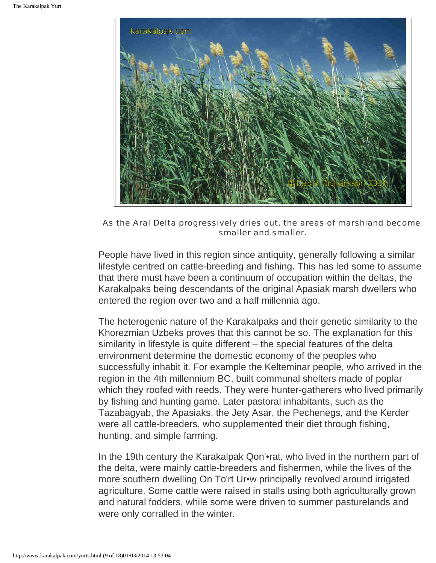

As the Aral Delta progressively dries out, the areas of marshland become smaller and smaller.

People have lived in this region since antiquity, generally following a similar lifestyle centred on cattle-breeding and fishing. This has led some to assume that there must have been a continuum of occupation within the deltas, the Karakalpaks being descendants of the original Apasiak marsh dwellers who entered the region over two and a half millennia ago.

The heterogenic nature of the Karakalpaks and their genetic similarity to the Khorezmian Uzbeks proves that this cannot be so. The explanation for this similarity in lifestyle is quite different – the special features of the delta environment determine the domestic economy of the peoples who successfully inhabit it. For example the Kelteminar people, who arrived in the region in the 4th millennium BC, built communal shelters made of poplar which they roofed with reeds. They were hunter-gatherers who lived primarily by fishing and hunting game. Later pastoral inhabitants, such as the Tazabagyab, the Apasiaks, the Jety Asar, the Pechenegs, and the Kerder were all cattle-breeders, who supplemented their diet through fishing, hunting, and simple farming.

In the 19th century the Karakalpak Qon'•rat, who lived in the northern part of the delta, were mainly cattle-breeders and fishermen, while the lives of the more southern dwelling On To'rt Ur•w principally revolved around irrigated agriculture. Some cattle were raised in stalls using both agriculturally grown and natural fodders, while some were driven to summer pasturelands and were only corralled in the winter.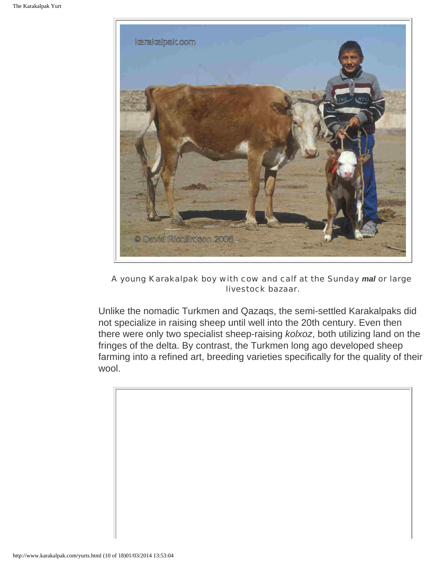

#### A young Karakalpak boy with cow and calf at the Sunday *mal* or large livestock bazaar.

Unlike the nomadic Turkmen and Qazaqs, the semi-settled Karakalpaks did not specialize in raising sheep until well into the 20th century. Even then there were only two specialist sheep-raising *kolxoz*, both utilizing land on the fringes of the delta. By contrast, the Turkmen long ago developed sheep farming into a refined art, breeding varieties specifically for the quality of their wool.

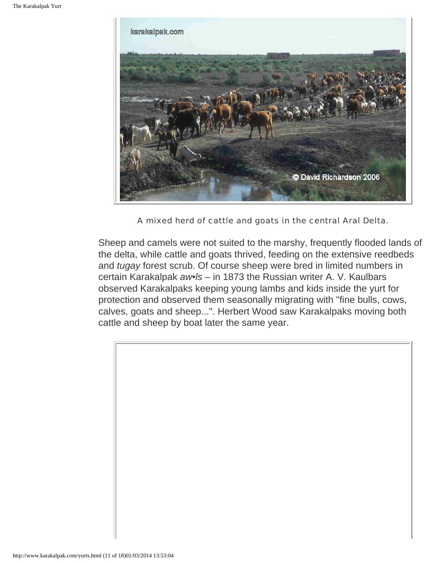

A mixed herd of cattle and goats in the central Aral Delta.

Sheep and camels were not suited to the marshy, frequently flooded lands of the delta, while cattle and goats thrived, feeding on the extensive reedbeds and *tugay* forest scrub. Of course sheep were bred in limited numbers in certain Karakalpak *aw•ls* – in 1873 the Russian writer A. V. Kaulbars observed Karakalpaks keeping young lambs and kids inside the yurt for protection and observed them seasonally migrating with "fine bulls, cows, calves, goats and sheep...". Herbert Wood saw Karakalpaks moving both cattle and sheep by boat later the same year.

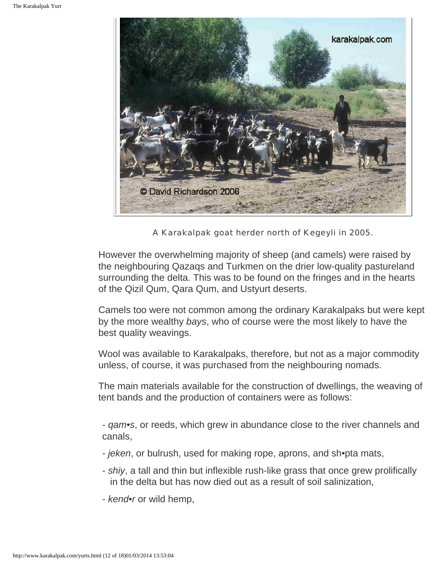

A Karakalpak goat herder north of Kegeyli in 2005.

However the overwhelming majority of sheep (and camels) were raised by the neighbouring Qazaqs and Turkmen on the drier low-quality pastureland surrounding the delta. This was to be found on the fringes and in the hearts of the Qizil Qum, Qara Qum, and Ustyurt deserts.

Camels too were not common among the ordinary Karakalpaks but were kept by the more wealthy *bays*, who of course were the most likely to have the best quality weavings.

Wool was available to Karakalpaks, therefore, but not as a major commodity unless, of course, it was purchased from the neighbouring nomads.

The main materials available for the construction of dwellings, the weaving of tent bands and the production of containers were as follows:

- *qam•s*, or reeds, which grew in abundance close to the river channels and canals,

- *jeken*, or bulrush, used for making rope, aprons, and sh•pta mats,
- *shiy*, a tall and thin but inflexible rush-like grass that once grew prolifically in the delta but has now died out as a result of soil salinization,
- *kend•r* or wild hemp,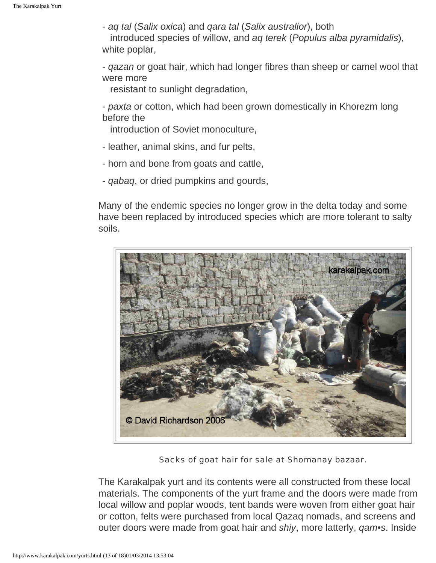- *aq tal* (*Salix oxica*) and *qara tal* (*Salix australior*), both introduced species of willow, and *aq terek* (*Populus alba pyramidalis*), white poplar,
- *qazan* or goat hair, which had longer fibres than sheep or camel wool that were more
	- resistant to sunlight degradation,
- *paxta* or cotton, which had been grown domestically in Khorezm long before the
	- introduction of Soviet monoculture,
- leather, animal skins, and fur pelts,
- horn and bone from goats and cattle,
- *qabaq*, or dried pumpkins and gourds,

Many of the endemic species no longer grow in the delta today and some have been replaced by introduced species which are more tolerant to salty soils.



Sacks of goat hair for sale at Shomanay bazaar.

The Karakalpak yurt and its contents were all constructed from these local materials. The components of the yurt frame and the doors were made from local willow and poplar woods, tent bands were woven from either goat hair or cotton, felts were purchased from local Qazaq nomads, and screens and outer doors were made from goat hair and *shiy*, more latterly, *qam•s*. Inside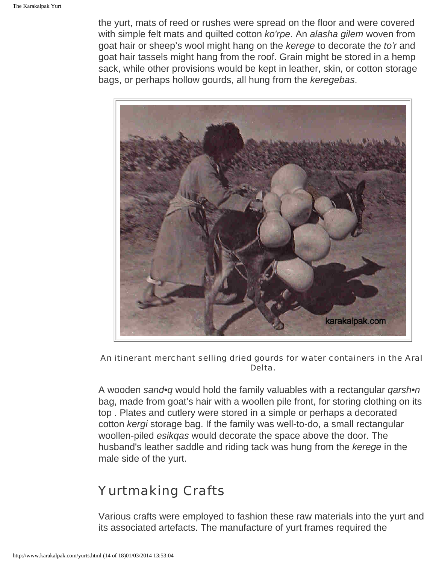the yurt, mats of reed or rushes were spread on the floor and were covered with simple felt mats and quilted cotton *ko'rpe*. An *alasha gilem* woven from goat hair or sheep's wool might hang on the *kerege* to decorate the *to'r* and goat hair tassels might hang from the roof. Grain might be stored in a hemp sack, while other provisions would be kept in leather, skin, or cotton storage bags, or perhaps hollow gourds, all hung from the *keregebas*.



An itinerant merchant selling dried gourds for water containers in the Aral Delta.

A wooden *sand•q* would hold the family valuables with a rectangular *qarsh•n* bag, made from goat's hair with a woollen pile front, for storing clothing on its top . Plates and cutlery were stored in a simple or perhaps a decorated cotton *kergi* storage bag. If the family was well-to-do, a small rectangular woollen-piled *esikqas* would decorate the space above the door. The husband's leather saddle and riding tack was hung from the *kerege* in the male side of the yurt.

# <span id="page-13-0"></span>Yurtmaking Crafts

Various crafts were employed to fashion these raw materials into the yurt and its associated artefacts. The manufacture of yurt frames required the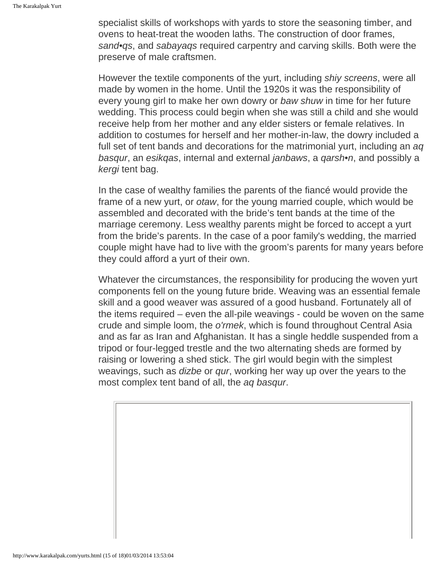specialist skills of workshops with yards to store the seasoning timber, and ovens to heat-treat the wooden laths. The construction of door frames, *sand•qs*, and *sabayaqs* required carpentry and carving skills. Both were the preserve of male craftsmen.

However the textile components of the yurt, including *shiy screens*, were all made by women in the home. Until the 1920s it was the responsibility of every young girl to make her own dowry or *baw shuw* in time for her future wedding. This process could begin when she was still a child and she would receive help from her mother and any elder sisters or female relatives. In addition to costumes for herself and her mother-in-law, the dowry included a full set of tent bands and decorations for the matrimonial yurt, including an *aq basqur*, an *esikqas*, internal and external *janbaws*, a *qarsh•n*, and possibly a *kergi* tent bag.

In the case of wealthy families the parents of the fiancé would provide the frame of a new yurt, or *otaw*, for the young married couple, which would be assembled and decorated with the bride's tent bands at the time of the marriage ceremony. Less wealthy parents might be forced to accept a yurt from the bride's parents. In the case of a poor family's wedding, the married couple might have had to live with the groom's parents for many years before they could afford a yurt of their own.

Whatever the circumstances, the responsibility for producing the woven yurt components fell on the young future bride. Weaving was an essential female skill and a good weaver was assured of a good husband. Fortunately all of the items required – even the all-pile weavings - could be woven on the same crude and simple loom, the *o'rmek*, which is found throughout Central Asia and as far as Iran and Afghanistan. It has a single heddle suspended from a tripod or four-legged trestle and the two alternating sheds are formed by raising or lowering a shed stick. The girl would begin with the simplest weavings, such as *dizbe* or *qur*, working her way up over the years to the most complex tent band of all, the *aq basqur*.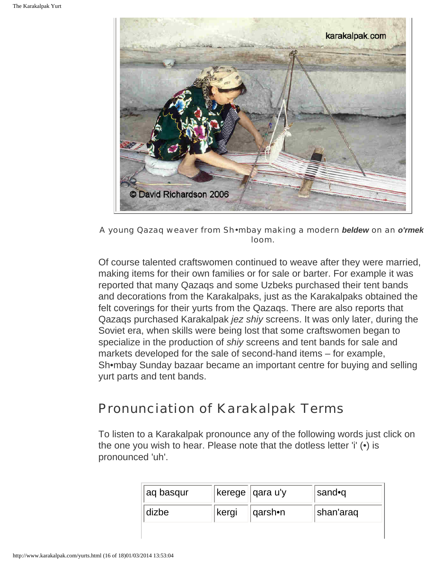

A young Qazaq weaver from Sh•mbay making a modern *beldew* on an *o'rmek* loom.

Of course talented craftswomen continued to weave after they were married, making items for their own families or for sale or barter. For example it was reported that many Qazaqs and some Uzbeks purchased their tent bands and decorations from the Karakalpaks, just as the Karakalpaks obtained the felt coverings for their yurts from the Qazaqs. There are also reports that Qazaqs purchased Karakalpak *jez shiy* screens. It was only later, during the Soviet era, when skills were being lost that some craftswomen began to specialize in the production of *shiy* screens and tent bands for sale and markets developed for the sale of second-hand items – for example, Sh•mbay Sunday bazaar became an important centre for buying and selling yurt parts and tent bands.

# <span id="page-15-0"></span>Pronunciation of Karakalpak Terms

To listen to a Karakalpak pronounce any of the following words just click on the one you wish to hear. Please note that the dotless letter 'i' (•) is pronounced 'uh'.

| aq basqur |       | kerege   qara u'y | ∣sand•q   |
|-----------|-------|-------------------|-----------|
| dizbe     | kergi | $ qarsh$ •n       | shan'araq |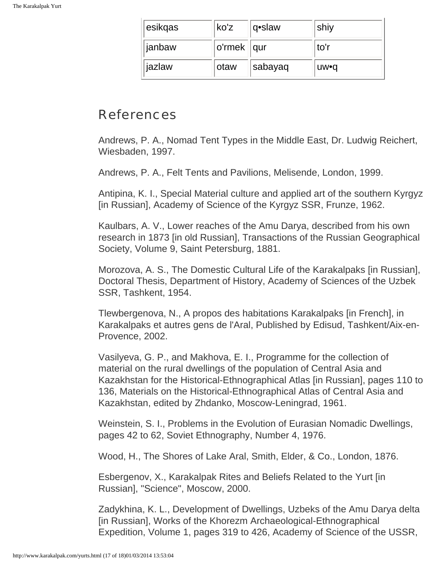| esikqas | !ko'z        | q•slaw  | shiy  |
|---------|--------------|---------|-------|
| janbaw  | o'rmek   qur |         | to'r  |
| jazlaw  | otaw         | sabayaq | ∣uw∙q |

### <span id="page-16-0"></span>References

Andrews, P. A., Nomad Tent Types in the Middle East, Dr. Ludwig Reichert, Wiesbaden, 1997.

Andrews, P. A., Felt Tents and Pavilions, Melisende, London, 1999.

Antipina, K. I., Special Material culture and applied art of the southern Kyrgyz [in Russian], Academy of Science of the Kyrgyz SSR, Frunze, 1962.

Kaulbars, A. V., Lower reaches of the Amu Darya, described from his own research in 1873 [in old Russian], Transactions of the Russian Geographical Society, Volume 9, Saint Petersburg, 1881.

Morozova, A. S., The Domestic Cultural Life of the Karakalpaks [in Russian], Doctoral Thesis, Department of History, Academy of Sciences of the Uzbek SSR, Tashkent, 1954.

Tlewbergenova, N., A propos des habitations Karakalpaks [in French], in Karakalpaks et autres gens de l'Aral, Published by Edisud, Tashkent/Aix-en-Provence, 2002.

Vasilyeva, G. P., and Makhova, E. I., Programme for the collection of material on the rural dwellings of the population of Central Asia and Kazakhstan for the Historical-Ethnographical Atlas [in Russian], pages 110 to 136, Materials on the Historical-Ethnographical Atlas of Central Asia and Kazakhstan, edited by Zhdanko, Moscow-Leningrad, 1961.

Weinstein, S. I., Problems in the Evolution of Eurasian Nomadic Dwellings, pages 42 to 62, Soviet Ethnography, Number 4, 1976.

Wood, H., The Shores of Lake Aral, Smith, Elder, & Co., London, 1876.

Esbergenov, X., Karakalpak Rites and Beliefs Related to the Yurt [in Russian], "Science", Moscow, 2000.

Zadykhina, K. L., Development of Dwellings, Uzbeks of the Amu Darya delta [in Russian], Works of the Khorezm Archaeological-Ethnographical Expedition, Volume 1, pages 319 to 426, Academy of Science of the USSR,